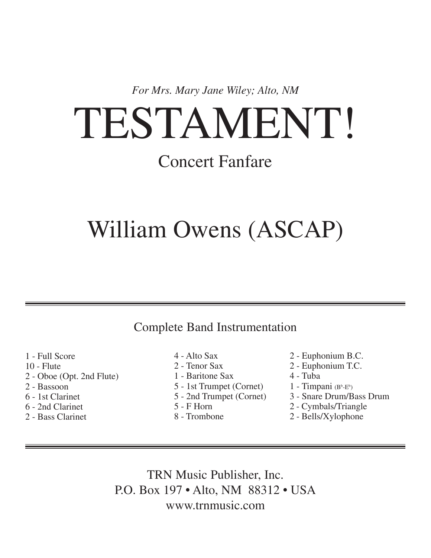*For Mrs. Mary Jane Wiley; Alto, NM*

# TESTAMENT!

### Concert Fanfare

### William Owens (ASCAP)

### Complete Band Instrumentation

1 - Full Score

- 10 Flute
- 2 Oboe (Opt. 2nd Flute)
- 2 Bassoon
- 6 1st Clarinet
- 6 2nd Clarinet
- 2 Bass Clarinet
- 4 Alto Sax
- 2 Tenor Sax
- 1 Baritone Sax
- 5 1st Trumpet (Cornet)
- 5 2nd Trumpet (Cornet)
- 5 F Horn
- 8 Trombone
- 2 Euphonium B.C.
- 2 Euphonium T.C.
- 4 Tuba
- 1 Timpani (B<sup>b</sup>-E<sup>b</sup>)
- 3 Snare Drum/Bass Drum
- 2 Cymbals/Triangle
- 2 Bells/Xylophone

TRN Music Publisher, Inc. P.O. Box 197 • Alto, NM 88312 • USA www.trnmusic.com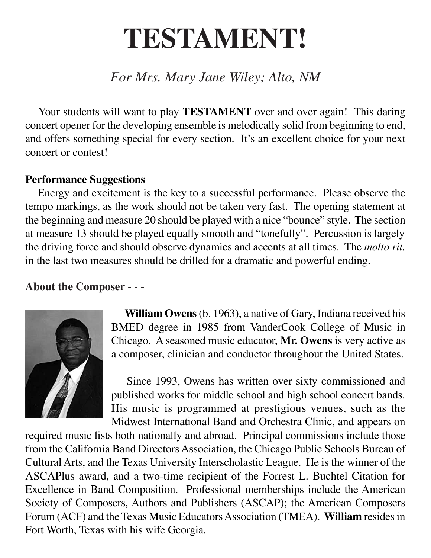## **TESTAMENT!**

### *For Mrs. Mary Jane Wiley; Alto, NM*

Your students will want to play **TESTAMENT** over and over again! This daring concert opener for the developing ensemble is melodically solid from beginning to end, and offers something special for every section. It's an excellent choice for your next concert or contest!

### **Performance Suggestions**

 Energy and excitement is the key to a successful performance. Please observe the tempo markings, as the work should not be taken very fast. The opening statement at the beginning and measure 20 should be played with a nice "bounce" style. The section at measure 13 should be played equally smooth and "tonefully". Percussion is largely the driving force and should observe dynamics and accents at all times. The *molto rit.* in the last two measures should be drilled for a dramatic and powerful ending.

### **About the Composer - - -**



**William Owens** (b. 1963), a native of Gary, Indiana received his BMED degree in 1985 from VanderCook College of Music in Chicago. A seasoned music educator, **Mr. Owens** is very active as a composer, clinician and conductor throughout the United States.

 Since 1993, Owens has written over sixty commissioned and published works for middle school and high school concert bands. His music is programmed at prestigious venues, such as the Midwest International Band and Orchestra Clinic, and appears on

required music lists both nationally and abroad. Principal commissions include those from the California Band Directors Association, the Chicago Public Schools Bureau of Cultural Arts, and the Texas University Interscholastic League. He is the winner of the ASCAPlus award, and a two-time recipient of the Forrest L. Buchtel Citation for Excellence in Band Composition. Professional memberships include the American Society of Composers, Authors and Publishers (ASCAP); the American Composers Forum (ACF) and the Texas Music Educators Association (TMEA). **William** resides in Fort Worth, Texas with his wife Georgia.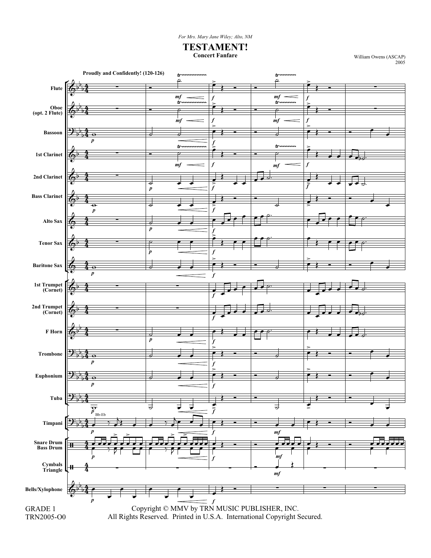*For Mrs. Mary Jane Wiley; Alto, NM*

**TESTAMENT!**

**Concert Fanfare** William Owens (ASCAP) 2005